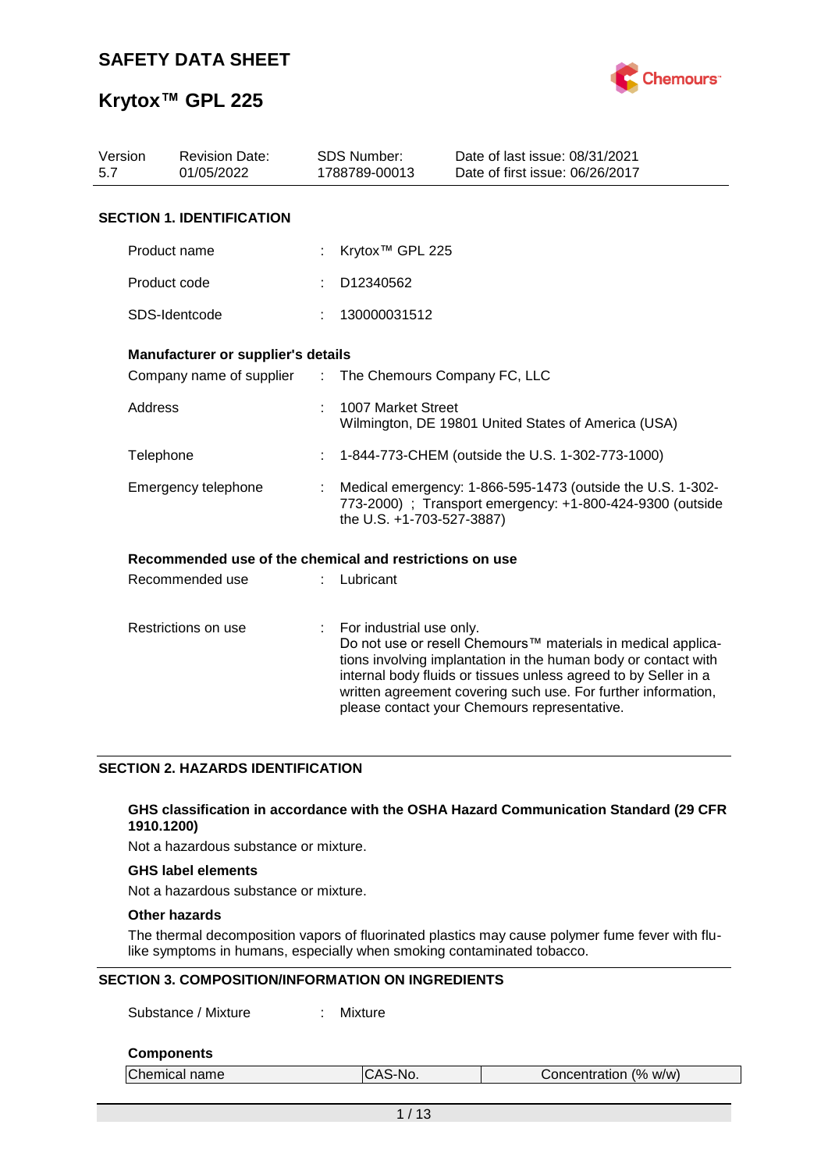

| Version<br>5.7 | <b>Revision Date:</b><br>01/05/2022                     |                               | <b>SDS Number:</b><br>1788789-00013                                                                                                                  | Date of last issue: 08/31/2021<br>Date of first issue: 06/26/2017                                                                                                                                                                                                                                                  |  |
|----------------|---------------------------------------------------------|-------------------------------|------------------------------------------------------------------------------------------------------------------------------------------------------|--------------------------------------------------------------------------------------------------------------------------------------------------------------------------------------------------------------------------------------------------------------------------------------------------------------------|--|
|                | <b>SECTION 1. IDENTIFICATION</b>                        |                               |                                                                                                                                                      |                                                                                                                                                                                                                                                                                                                    |  |
|                | Product name                                            |                               | Krytox <sup>™</sup> GPL 225                                                                                                                          |                                                                                                                                                                                                                                                                                                                    |  |
|                | Product code                                            |                               | D12340562                                                                                                                                            |                                                                                                                                                                                                                                                                                                                    |  |
|                | SDS-Identcode                                           |                               | 130000031512                                                                                                                                         |                                                                                                                                                                                                                                                                                                                    |  |
|                | Manufacturer or supplier's details                      |                               |                                                                                                                                                      |                                                                                                                                                                                                                                                                                                                    |  |
|                | Company name of supplier                                | $\mathcal{I}^{\mathcal{I}}$ . | The Chemours Company FC, LLC                                                                                                                         |                                                                                                                                                                                                                                                                                                                    |  |
| Address        |                                                         |                               | 1007 Market Street                                                                                                                                   | Wilmington, DE 19801 United States of America (USA)                                                                                                                                                                                                                                                                |  |
|                | Telephone                                               |                               |                                                                                                                                                      | 1-844-773-CHEM (outside the U.S. 1-302-773-1000)                                                                                                                                                                                                                                                                   |  |
|                | Emergency telephone                                     |                               | Medical emergency: 1-866-595-1473 (outside the U.S. 1-302-<br>773-2000) ; Transport emergency: +1-800-424-9300 (outside<br>the U.S. +1-703-527-3887) |                                                                                                                                                                                                                                                                                                                    |  |
|                | Recommended use of the chemical and restrictions on use |                               |                                                                                                                                                      |                                                                                                                                                                                                                                                                                                                    |  |
|                | Recommended use                                         |                               | Lubricant                                                                                                                                            |                                                                                                                                                                                                                                                                                                                    |  |
|                | Restrictions on use                                     | ÷                             | For industrial use only.                                                                                                                             | Do not use or resell Chemours™ materials in medical applica-<br>tions involving implantation in the human body or contact with<br>internal body fluids or tissues unless agreed to by Seller in a<br>written agreement covering such use. For further information,<br>please contact your Chemours representative. |  |

#### **SECTION 2. HAZARDS IDENTIFICATION**

#### **GHS classification in accordance with the OSHA Hazard Communication Standard (29 CFR 1910.1200)**

Not a hazardous substance or mixture.

#### **GHS label elements**

Not a hazardous substance or mixture.

#### **Other hazards**

The thermal decomposition vapors of fluorinated plastics may cause polymer fume fever with flulike symptoms in humans, especially when smoking contaminated tobacco.

#### **SECTION 3. COMPOSITION/INFORMATION ON INGREDIENTS**

Substance / Mixture : Mixture

#### **Components**

| Chemical name | ∩AS-No. | Concentration (% w/w) |  |
|---------------|---------|-----------------------|--|
|               |         |                       |  |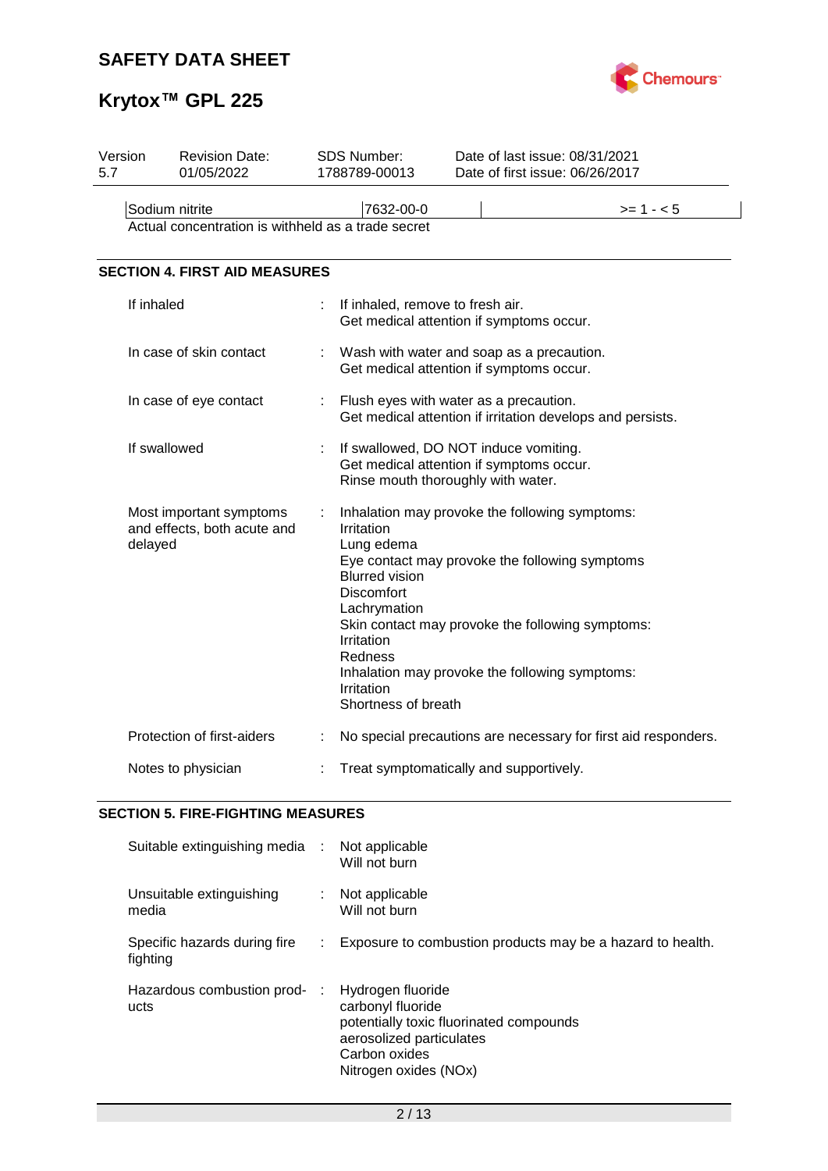

# **Krytox™ GPL 225**

| Version<br>5.7 | <b>Revision Date:</b><br>01/05/2022                                  |   | <b>SDS Number:</b><br>1788789-00013                                                                                                                  |  | Date of last issue: 08/31/2021<br>Date of first issue: 06/26/2017                                                                                                                                      |  |  |
|----------------|----------------------------------------------------------------------|---|------------------------------------------------------------------------------------------------------------------------------------------------------|--|--------------------------------------------------------------------------------------------------------------------------------------------------------------------------------------------------------|--|--|
|                | Sodium nitrite<br>Actual concentration is withheld as a trade secret |   | 7632-00-0                                                                                                                                            |  | $>= 1 - 5$                                                                                                                                                                                             |  |  |
|                | <b>SECTION 4. FIRST AID MEASURES</b>                                 |   |                                                                                                                                                      |  |                                                                                                                                                                                                        |  |  |
|                | If inhaled                                                           |   | If inhaled, remove to fresh air.<br>Get medical attention if symptoms occur.                                                                         |  |                                                                                                                                                                                                        |  |  |
|                | In case of skin contact                                              |   | Wash with water and soap as a precaution.<br>Get medical attention if symptoms occur.                                                                |  |                                                                                                                                                                                                        |  |  |
|                | In case of eye contact                                               |   | Flush eyes with water as a precaution.<br>Get medical attention if irritation develops and persists.                                                 |  |                                                                                                                                                                                                        |  |  |
|                | If swallowed                                                         |   | If swallowed, DO NOT induce vomiting.<br>Get medical attention if symptoms occur.<br>Rinse mouth thoroughly with water.                              |  |                                                                                                                                                                                                        |  |  |
|                | Most important symptoms<br>and effects, both acute and<br>delayed    |   | Irritation<br>Lung edema<br><b>Blurred vision</b><br><b>Discomfort</b><br>Lachrymation<br>Irritation<br>Redness<br>Irritation<br>Shortness of breath |  | Inhalation may provoke the following symptoms:<br>Eye contact may provoke the following symptoms<br>Skin contact may provoke the following symptoms:<br>Inhalation may provoke the following symptoms: |  |  |
|                | Protection of first-aiders                                           | ÷ |                                                                                                                                                      |  | No special precautions are necessary for first aid responders.                                                                                                                                         |  |  |
|                | Notes to physician                                                   |   | Treat symptomatically and supportively.                                                                                                              |  |                                                                                                                                                                                                        |  |  |

## **SECTION 5. FIRE-FIGHTING MEASURES**

| Suitable extinguishing media :           |    | Not applicable<br>Will not burn                                                                                                                         |
|------------------------------------------|----|---------------------------------------------------------------------------------------------------------------------------------------------------------|
| Unsuitable extinguishing<br>media        |    | : Not applicable<br>Will not burn                                                                                                                       |
| Specific hazards during fire<br>fighting | ÷. | Exposure to combustion products may be a hazard to health.                                                                                              |
| Hazardous combustion prod-<br>ucts       | ÷  | Hydrogen fluoride<br>carbonyl fluoride<br>potentially toxic fluorinated compounds<br>aerosolized particulates<br>Carbon oxides<br>Nitrogen oxides (NOx) |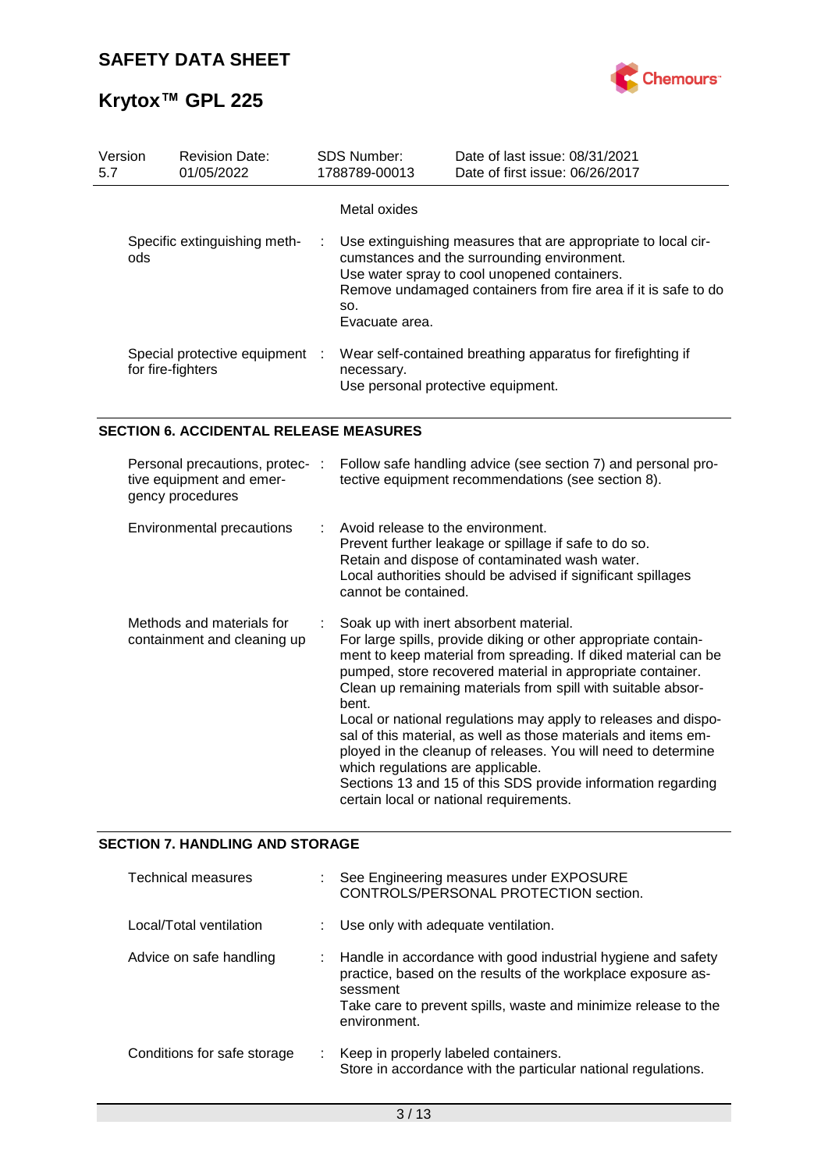

| Version<br>5.7 |                   | <b>Revision Date:</b><br>01/05/2022 | <b>SDS Number:</b><br>1788789-00013   | Date of last issue: 08/31/2021<br>Date of first issue: 06/26/2017                                                                                                                                                              |
|----------------|-------------------|-------------------------------------|---------------------------------------|--------------------------------------------------------------------------------------------------------------------------------------------------------------------------------------------------------------------------------|
|                | ods               | Specific extinguishing meth-        | Metal oxides<br>SO.<br>Evacuate area. | Use extinguishing measures that are appropriate to local cir-<br>cumstances and the surrounding environment.<br>Use water spray to cool unopened containers.<br>Remove undamaged containers from fire area if it is safe to do |
|                | for fire-fighters | Special protective equipment :      | necessary.                            | Wear self-contained breathing apparatus for firefighting if<br>Use personal protective equipment.                                                                                                                              |

## **SECTION 6. ACCIDENTAL RELEASE MEASURES**

| Personal precautions, protec- :<br>tive equipment and emer-<br>gency procedures | Follow safe handling advice (see section 7) and personal pro-<br>tective equipment recommendations (see section 8).                                                                                                                                                                                                                                                                                                                                                                                                                                                                                                                                                    |
|---------------------------------------------------------------------------------|------------------------------------------------------------------------------------------------------------------------------------------------------------------------------------------------------------------------------------------------------------------------------------------------------------------------------------------------------------------------------------------------------------------------------------------------------------------------------------------------------------------------------------------------------------------------------------------------------------------------------------------------------------------------|
| Environmental precautions                                                       | Avoid release to the environment.<br>Prevent further leakage or spillage if safe to do so.<br>Retain and dispose of contaminated wash water.<br>Local authorities should be advised if significant spillages<br>cannot be contained.                                                                                                                                                                                                                                                                                                                                                                                                                                   |
| Methods and materials for<br>containment and cleaning up                        | Soak up with inert absorbent material.<br>For large spills, provide diking or other appropriate contain-<br>ment to keep material from spreading. If diked material can be<br>pumped, store recovered material in appropriate container.<br>Clean up remaining materials from spill with suitable absor-<br>bent.<br>Local or national regulations may apply to releases and dispo-<br>sal of this material, as well as those materials and items em-<br>ployed in the cleanup of releases. You will need to determine<br>which regulations are applicable.<br>Sections 13 and 15 of this SDS provide information regarding<br>certain local or national requirements. |

### **SECTION 7. HANDLING AND STORAGE**

| <b>Technical measures</b>   | See Engineering measures under EXPOSURE<br>CONTROLS/PERSONAL PROTECTION section.                                                                                                                                           |
|-----------------------------|----------------------------------------------------------------------------------------------------------------------------------------------------------------------------------------------------------------------------|
| Local/Total ventilation     | Use only with adequate ventilation.                                                                                                                                                                                        |
| Advice on safe handling     | Handle in accordance with good industrial hygiene and safety<br>practice, based on the results of the workplace exposure as-<br>sessment<br>Take care to prevent spills, waste and minimize release to the<br>environment. |
| Conditions for safe storage | Keep in properly labeled containers.<br>Store in accordance with the particular national regulations.                                                                                                                      |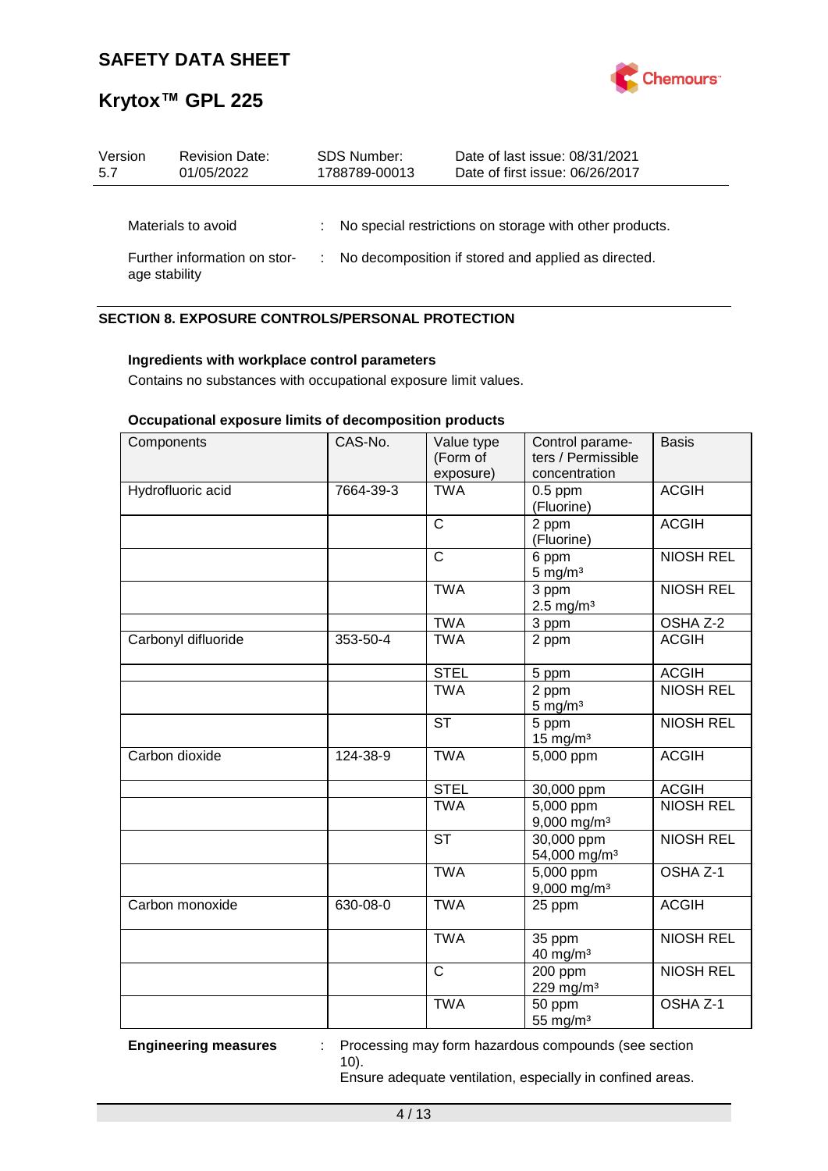

| Version<br>5.7 | <b>Revision Date:</b><br>01/05/2022 |    | SDS Number:<br>1788789-00013 | Date of last issue: 08/31/2021<br>Date of first issue: 06/26/2017 |
|----------------|-------------------------------------|----|------------------------------|-------------------------------------------------------------------|
|                | Materials to avoid                  |    |                              | : No special restrictions on storage with other products.         |
| age stability  | Further information on stor-        | ÷. |                              | No decomposition if stored and applied as directed.               |

## **SECTION 8. EXPOSURE CONTROLS/PERSONAL PROTECTION**

### **Ingredients with workplace control parameters**

Contains no substances with occupational exposure limit values.

## **Occupational exposure limits of decomposition products**

| Components          | CAS-No.   | Value type<br>(Form of<br>exposure) | Control parame-<br>ters / Permissible<br>concentration | <b>Basis</b>     |
|---------------------|-----------|-------------------------------------|--------------------------------------------------------|------------------|
| Hydrofluoric acid   | 7664-39-3 | <b>TWA</b>                          | $0.5$ ppm<br>(Fluorine)                                | <b>ACGIH</b>     |
|                     |           | $\mathsf{C}$                        | 2 ppm<br>(Fluorine)                                    | <b>ACGIH</b>     |
|                     |           | $\overline{C}$                      | 6 ppm<br>$5$ mg/m <sup>3</sup>                         | <b>NIOSH REL</b> |
|                     |           | <b>TWA</b>                          | 3 ppm<br>$2.5$ mg/m <sup>3</sup>                       | <b>NIOSH REL</b> |
|                     |           | <b>TWA</b>                          | 3 ppm                                                  | OSHA Z-2         |
| Carbonyl difluoride | 353-50-4  | <b>TWA</b>                          | 2 ppm                                                  | <b>ACGIH</b>     |
|                     |           | <b>STEL</b>                         | 5 ppm                                                  | <b>ACGIH</b>     |
|                     |           | <b>TWA</b>                          | 2 ppm<br>$5 \text{ mg/m}^3$                            | <b>NIOSH REL</b> |
|                     |           | <b>ST</b>                           | 5 ppm<br>$15$ mg/m <sup>3</sup>                        | <b>NIOSH REL</b> |
| Carbon dioxide      | 124-38-9  | <b>TWA</b>                          | 5,000 ppm                                              | <b>ACGIH</b>     |
|                     |           | <b>STEL</b>                         | 30,000 ppm                                             | <b>ACGIH</b>     |
|                     |           | <b>TWA</b>                          | 5,000 ppm<br>$9,000$ mg/m <sup>3</sup>                 | <b>NIOSH REL</b> |
|                     |           | <b>ST</b>                           | 30,000 ppm<br>54,000 mg/m <sup>3</sup>                 | <b>NIOSH REL</b> |
|                     |           | <b>TWA</b>                          | 5,000 ppm<br>$9,000$ mg/m <sup>3</sup>                 | OSHA Z-1         |
| Carbon monoxide     | 630-08-0  | <b>TWA</b>                          | 25 ppm                                                 | <b>ACGIH</b>     |
|                     |           | <b>TWA</b>                          | 35 ppm<br>$40$ mg/m <sup>3</sup>                       | <b>NIOSH REL</b> |
|                     |           | $\mathsf{C}$                        | 200 ppm<br>229 mg/m <sup>3</sup>                       | <b>NIOSH REL</b> |
|                     |           | <b>TWA</b>                          | 50 ppm<br>55 mg/m <sup>3</sup>                         | OSHA Z-1         |

**Engineering measures** : Processing may form hazardous compounds (see section 10).

Ensure adequate ventilation, especially in confined areas.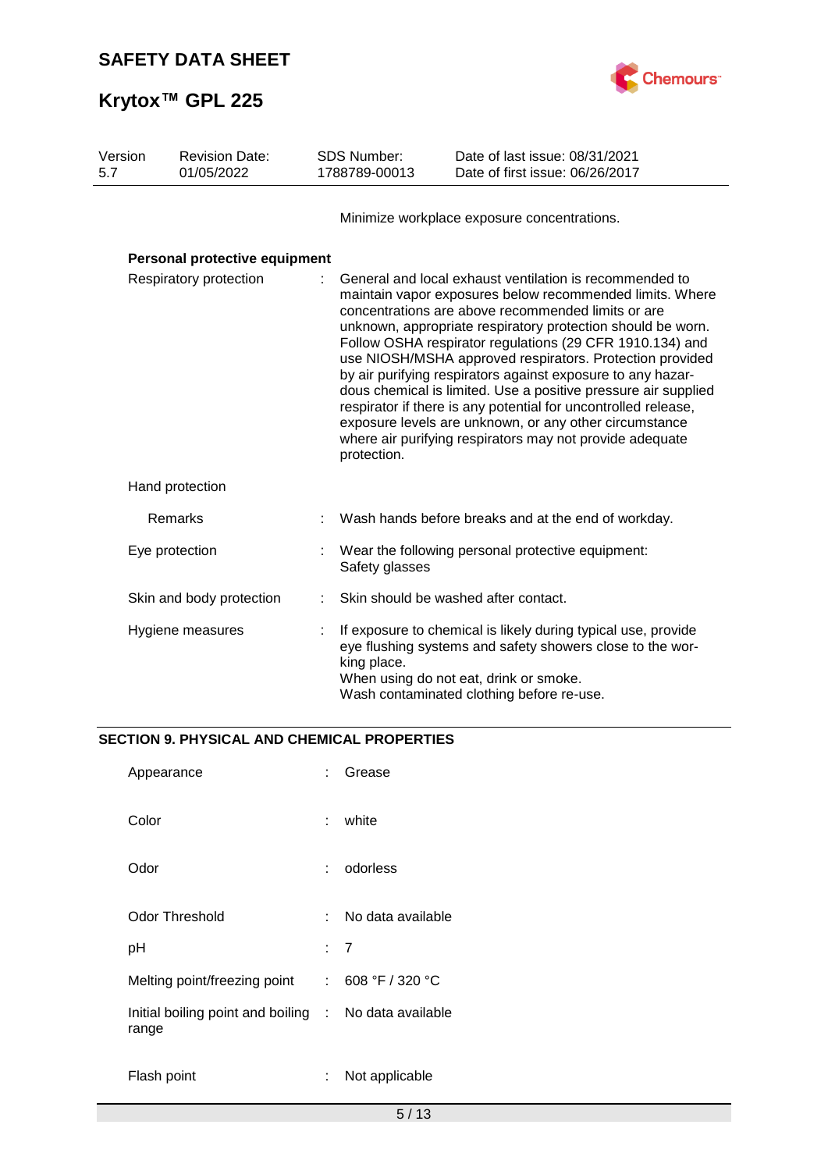

| Version<br>5.7         | <b>Revision Date:</b><br>01/05/2022 | SDS Number:<br>1788789-00013                                                                                                                                                                                                                                                                                                                                                                                                                                                                                                                                                                                                                                                                             | Date of last issue: 08/31/2021<br>Date of first issue: 06/26/2017                                                                                                                                                 |  |
|------------------------|-------------------------------------|----------------------------------------------------------------------------------------------------------------------------------------------------------------------------------------------------------------------------------------------------------------------------------------------------------------------------------------------------------------------------------------------------------------------------------------------------------------------------------------------------------------------------------------------------------------------------------------------------------------------------------------------------------------------------------------------------------|-------------------------------------------------------------------------------------------------------------------------------------------------------------------------------------------------------------------|--|
|                        |                                     |                                                                                                                                                                                                                                                                                                                                                                                                                                                                                                                                                                                                                                                                                                          | Minimize workplace exposure concentrations.                                                                                                                                                                       |  |
|                        | Personal protective equipment       |                                                                                                                                                                                                                                                                                                                                                                                                                                                                                                                                                                                                                                                                                                          |                                                                                                                                                                                                                   |  |
| Respiratory protection |                                     | General and local exhaust ventilation is recommended to<br>maintain vapor exposures below recommended limits. Where<br>concentrations are above recommended limits or are<br>unknown, appropriate respiratory protection should be worn.<br>Follow OSHA respirator regulations (29 CFR 1910.134) and<br>use NIOSH/MSHA approved respirators. Protection provided<br>by air purifying respirators against exposure to any hazar-<br>dous chemical is limited. Use a positive pressure air supplied<br>respirator if there is any potential for uncontrolled release,<br>exposure levels are unknown, or any other circumstance<br>where air purifying respirators may not provide adequate<br>protection. |                                                                                                                                                                                                                   |  |
|                        | Hand protection                     |                                                                                                                                                                                                                                                                                                                                                                                                                                                                                                                                                                                                                                                                                                          |                                                                                                                                                                                                                   |  |
|                        | Remarks                             |                                                                                                                                                                                                                                                                                                                                                                                                                                                                                                                                                                                                                                                                                                          | Wash hands before breaks and at the end of workday.                                                                                                                                                               |  |
|                        | Eye protection                      | Safety glasses                                                                                                                                                                                                                                                                                                                                                                                                                                                                                                                                                                                                                                                                                           | Wear the following personal protective equipment:                                                                                                                                                                 |  |
|                        | Skin and body protection            |                                                                                                                                                                                                                                                                                                                                                                                                                                                                                                                                                                                                                                                                                                          | Skin should be washed after contact.                                                                                                                                                                              |  |
|                        | Hygiene measures                    | king place.                                                                                                                                                                                                                                                                                                                                                                                                                                                                                                                                                                                                                                                                                              | If exposure to chemical is likely during typical use, provide<br>eye flushing systems and safety showers close to the wor-<br>When using do not eat, drink or smoke.<br>Wash contaminated clothing before re-use. |  |

## **SECTION 9. PHYSICAL AND CHEMICAL PROPERTIES**

| Appearance                                                     |    | Grease            |
|----------------------------------------------------------------|----|-------------------|
| Color                                                          | ٠. | white             |
| Odor                                                           |    | odorless          |
| Odor Threshold                                                 |    | No data available |
| рH                                                             |    | : 7               |
| Melting point/freezing point : 608 °F / 320 °C                 |    |                   |
| Initial boiling point and boiling : No data available<br>range |    |                   |
| Flash point                                                    |    | Not applicable    |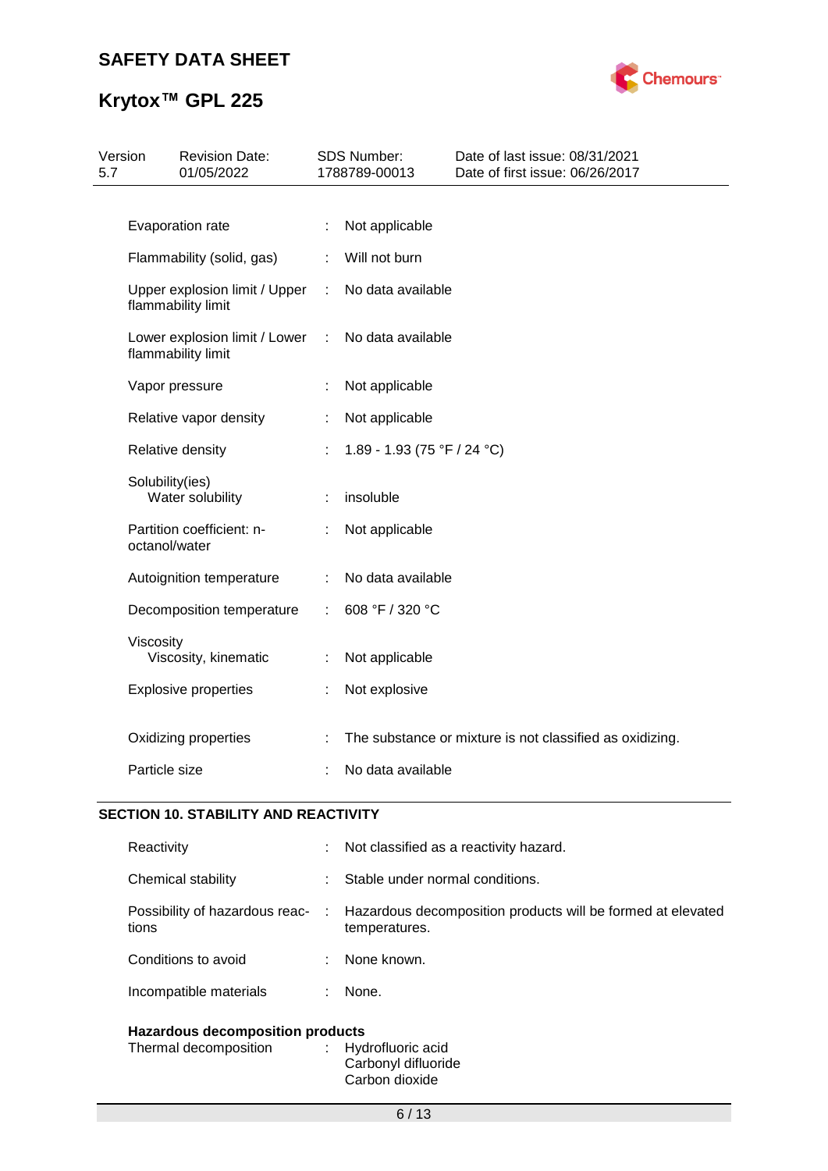

# **Krytox™ GPL 225**

| 5.7 | <b>Revision Date:</b><br>Version<br>01/05/2022      |           | SDS Number:<br>1788789-00013 | Date of last issue: 08/31/2021<br>Date of first issue: 06/26/2017 |
|-----|-----------------------------------------------------|-----------|------------------------------|-------------------------------------------------------------------|
|     |                                                     |           |                              |                                                                   |
|     | Evaporation rate                                    | ÷.        | Not applicable               |                                                                   |
|     | Flammability (solid, gas)                           |           | Will not burn                |                                                                   |
|     | Upper explosion limit / Upper<br>flammability limit | ÷.        | No data available            |                                                                   |
|     | Lower explosion limit / Lower<br>flammability limit | $\sim$ 1. | No data available            |                                                                   |
|     | Vapor pressure                                      |           | Not applicable               |                                                                   |
|     | Relative vapor density                              |           | Not applicable               |                                                                   |
|     | Relative density                                    |           | 1.89 - 1.93 (75 °F / 24 °C)  |                                                                   |
|     | Solubility(ies)<br>Water solubility                 | t.        | insoluble                    |                                                                   |
|     | Partition coefficient: n-<br>octanol/water          |           | Not applicable               |                                                                   |
|     | Autoignition temperature                            |           | No data available            |                                                                   |
|     | Decomposition temperature                           | ÷         | 608 °F / 320 °C              |                                                                   |
|     | Viscosity<br>Viscosity, kinematic                   |           | Not applicable               |                                                                   |
|     | <b>Explosive properties</b>                         |           | Not explosive                |                                                                   |
|     | Oxidizing properties                                |           |                              | The substance or mixture is not classified as oxidizing.          |
|     | Particle size                                       |           | No data available            |                                                                   |
|     |                                                     |           |                              |                                                                   |

## **SECTION 10. STABILITY AND REACTIVITY**

| Reactivity                                                                           | ÷. | Not classified as a reactivity hazard.                                       |  |  |  |
|--------------------------------------------------------------------------------------|----|------------------------------------------------------------------------------|--|--|--|
| Chemical stability                                                                   | ÷  | Stable under normal conditions.                                              |  |  |  |
| Possibility of hazardous reac-<br>tions                                              | ÷  | Hazardous decomposition products will be formed at elevated<br>temperatures. |  |  |  |
| Conditions to avoid                                                                  | ÷  | None known.                                                                  |  |  |  |
| Incompatible materials                                                               | ÷  | None.                                                                        |  |  |  |
| Hazardous decomposition products<br>Thermal decomposition<br>Hydrofluoric acid<br>÷. |    |                                                                              |  |  |  |

Carbonyl difluoride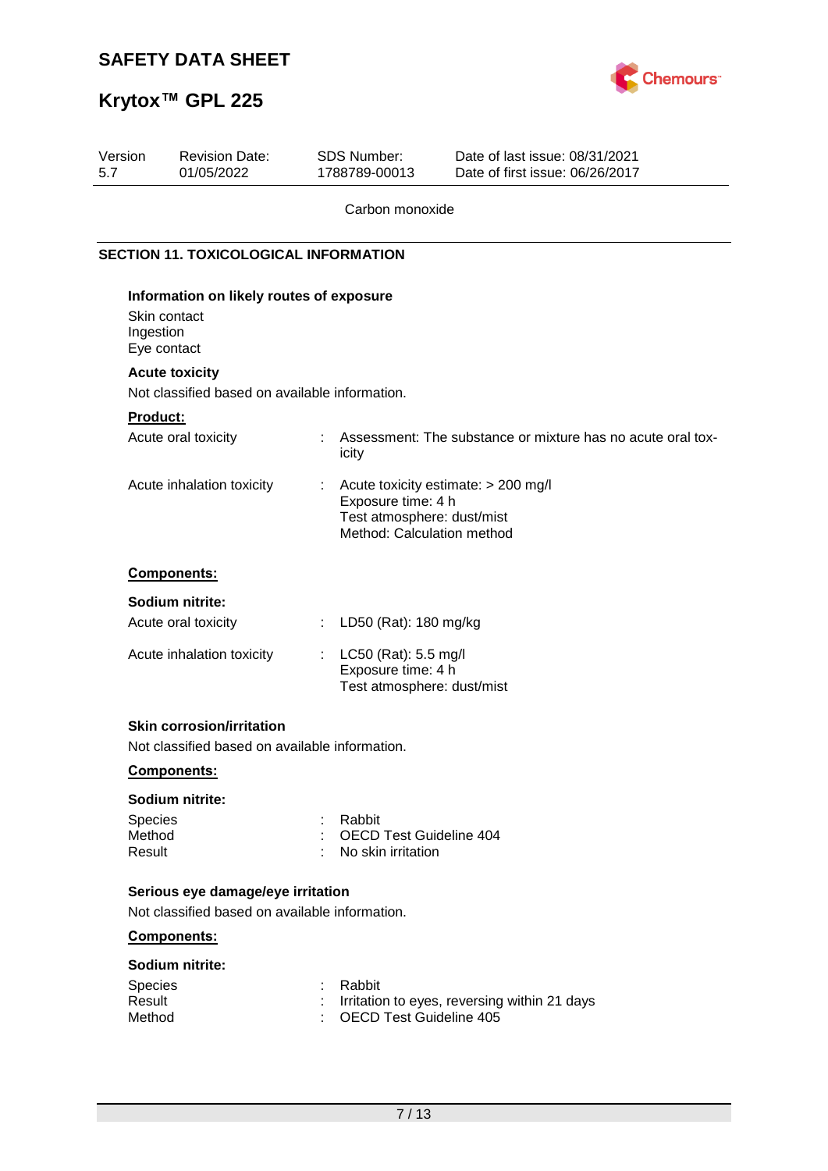

# **Krytox™ GPL 225**

| Version<br>5.7   | <b>Revision Date:</b><br>01/05/2022                      | <b>SDS Number:</b><br>1788789-00013                  | Date of last issue: 08/31/2021<br>Date of first issue: 06/26/2017 |
|------------------|----------------------------------------------------------|------------------------------------------------------|-------------------------------------------------------------------|
|                  |                                                          | Carbon monoxide                                      |                                                                   |
|                  | <b>SECTION 11. TOXICOLOGICAL INFORMATION</b>             |                                                      |                                                                   |
|                  | Information on likely routes of exposure                 |                                                      |                                                                   |
|                  | Skin contact                                             |                                                      |                                                                   |
| Ingestion        |                                                          |                                                      |                                                                   |
|                  | Eye contact                                              |                                                      |                                                                   |
|                  | <b>Acute toxicity</b>                                    |                                                      |                                                                   |
|                  | Not classified based on available information.           |                                                      |                                                                   |
| <b>Product:</b>  |                                                          |                                                      |                                                                   |
|                  | Acute oral toxicity                                      | ÷<br>icity                                           | Assessment: The substance or mixture has no acute oral tox-       |
|                  | Acute inhalation toxicity                                | ÷                                                    | Acute toxicity estimate: > 200 mg/l                               |
|                  |                                                          | Exposure time: 4 h                                   |                                                                   |
|                  | Test atmosphere: dust/mist<br>Method: Calculation method |                                                      |                                                                   |
|                  | Components:                                              |                                                      |                                                                   |
|                  | Sodium nitrite:                                          |                                                      |                                                                   |
|                  | Acute oral toxicity                                      | LD50 (Rat): 180 mg/kg<br>÷                           |                                                                   |
|                  | Acute inhalation toxicity                                | LC50 (Rat): 5.5 mg/l<br>÷                            |                                                                   |
|                  |                                                          | Exposure time: 4 h                                   |                                                                   |
|                  |                                                          | Test atmosphere: dust/mist                           |                                                                   |
|                  | <b>Skin corrosion/irritation</b>                         |                                                      |                                                                   |
|                  | Not classified based on available information.           |                                                      |                                                                   |
|                  | <b>Components:</b>                                       |                                                      |                                                                   |
|                  | Sodium nitrite:                                          |                                                      |                                                                   |
| <b>Species</b>   |                                                          | Rabbit                                               |                                                                   |
| Method<br>Result |                                                          | <b>OECD Test Guideline 404</b><br>No skin irritation |                                                                   |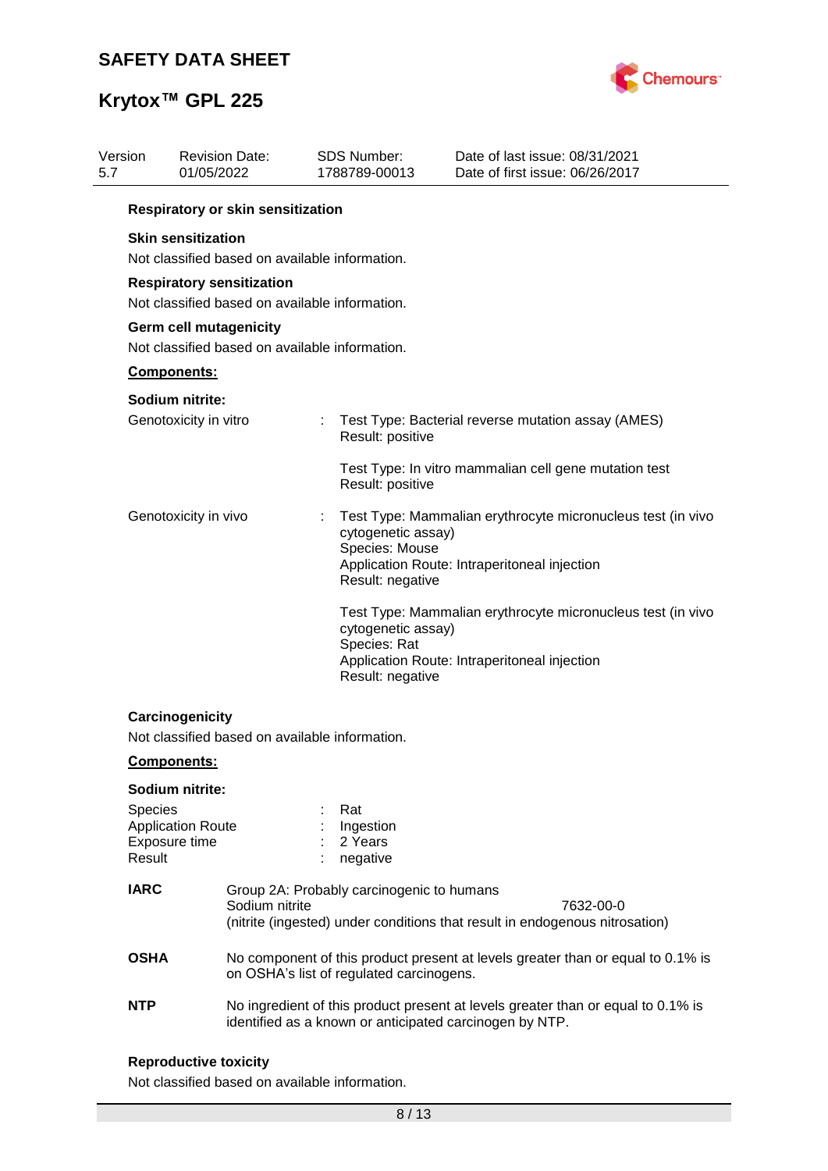

| Version<br>5.7 | 01/05/2022                                                     | <b>Revision Date:</b>                          | <b>SDS Number:</b><br>1788789-00013                      | Date of last issue: 08/31/2021<br>Date of first issue: 06/26/2017                                                                           |
|----------------|----------------------------------------------------------------|------------------------------------------------|----------------------------------------------------------|---------------------------------------------------------------------------------------------------------------------------------------------|
|                |                                                                | Respiratory or skin sensitization              |                                                          |                                                                                                                                             |
|                | <b>Skin sensitization</b>                                      | Not classified based on available information. |                                                          |                                                                                                                                             |
|                | <b>Respiratory sensitization</b>                               | Not classified based on available information. |                                                          |                                                                                                                                             |
|                | Germ cell mutagenicity                                         | Not classified based on available information. |                                                          |                                                                                                                                             |
|                | Components:                                                    |                                                |                                                          |                                                                                                                                             |
|                | Sodium nitrite:                                                |                                                |                                                          |                                                                                                                                             |
|                | Genotoxicity in vitro                                          |                                                | Result: positive                                         | Test Type: Bacterial reverse mutation assay (AMES)                                                                                          |
|                |                                                                |                                                | Result: positive                                         | Test Type: In vitro mammalian cell gene mutation test                                                                                       |
|                | Genotoxicity in vivo                                           |                                                | cytogenetic assay)<br>Species: Mouse<br>Result: negative | Test Type: Mammalian erythrocyte micronucleus test (in vivo<br>Application Route: Intraperitoneal injection                                 |
|                |                                                                |                                                | cytogenetic assay)<br>Species: Rat<br>Result: negative   | Test Type: Mammalian erythrocyte micronucleus test (in vivo<br>Application Route: Intraperitoneal injection                                 |
|                | Carcinogenicity                                                | Not classified based on available information. |                                                          |                                                                                                                                             |
|                | <b>Components:</b>                                             |                                                |                                                          |                                                                                                                                             |
|                | Sodium nitrite:                                                |                                                |                                                          |                                                                                                                                             |
|                | Species<br><b>Application Route</b><br>Exposure time<br>Result |                                                | Rat<br>Ingestion<br>2 Years<br>negative                  |                                                                                                                                             |
|                | <b>IARC</b>                                                    | Sodium nitrite                                 | Group 2A: Probably carcinogenic to humans                | 7632-00-0<br>(nitrite (ingested) under conditions that result in endogenous nitrosation)                                                    |
|                | <b>OSHA</b>                                                    |                                                | on OSHA's list of regulated carcinogens.                 | No component of this product present at levels greater than or equal to 0.1% is                                                             |
|                | <b>NTP</b>                                                     |                                                |                                                          | No ingredient of this product present at levels greater than or equal to 0.1% is<br>identified as a known or anticipated carcinogen by NTP. |
|                |                                                                |                                                |                                                          |                                                                                                                                             |

## **Reproductive toxicity**

Not classified based on available information.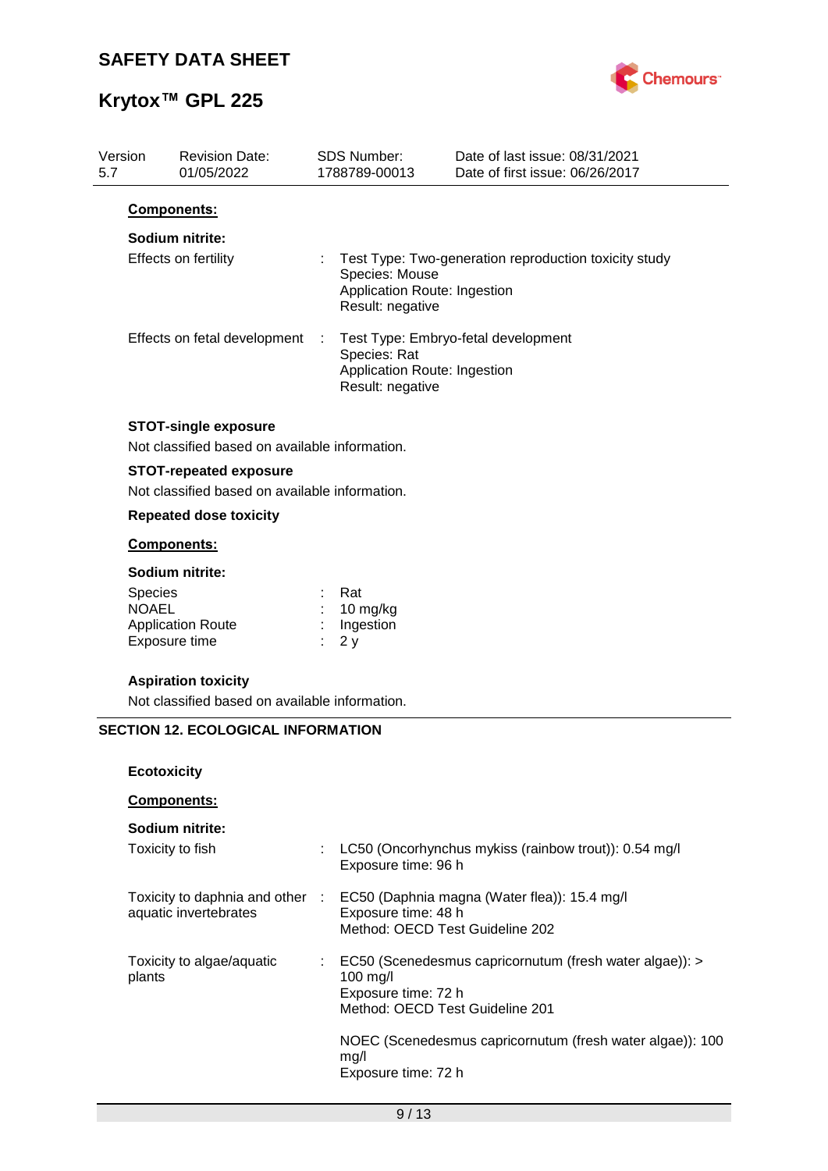

| Version<br>5.7                 | <b>Revision Date:</b><br>01/05/2022                                             |            | SDS Number:<br>1788789-00013                                       | Date of last issue: 08/31/2021<br>Date of first issue: 06/26/2017 |
|--------------------------------|---------------------------------------------------------------------------------|------------|--------------------------------------------------------------------|-------------------------------------------------------------------|
|                                | Components:                                                                     |            |                                                                    |                                                                   |
|                                | Sodium nitrite:                                                                 |            |                                                                    |                                                                   |
|                                | Effects on fertility                                                            |            | Species: Mouse<br>Application Route: Ingestion<br>Result: negative | Test Type: Two-generation reproduction toxicity study             |
|                                | Effects on fetal development                                                    | ÷.         | Species: Rat<br>Application Route: Ingestion<br>Result: negative   | Test Type: Embryo-fetal development                               |
|                                | <b>STOT-single exposure</b><br>Not classified based on available information.   |            |                                                                    |                                                                   |
|                                | <b>STOT-repeated exposure</b><br>Not classified based on available information. |            |                                                                    |                                                                   |
|                                | <b>Repeated dose toxicity</b>                                                   |            |                                                                    |                                                                   |
|                                | Components:                                                                     |            |                                                                    |                                                                   |
|                                | Sodium nitrite:                                                                 |            |                                                                    |                                                                   |
| <b>Species</b><br><b>NOAEL</b> | <b>Application Route</b><br>Exposure time                                       |            | Rat<br>10 mg/kg<br>Ingestion<br>2y                                 |                                                                   |
|                                | <b>Aspiration toxicity</b><br>Not classified based on available information.    |            |                                                                    |                                                                   |
|                                | <b>SECTION 12. ECOLOGICAL INFORMATION</b>                                       |            |                                                                    |                                                                   |
|                                | <b>Ecotoxicity</b>                                                              |            |                                                                    |                                                                   |
|                                | Components:                                                                     |            |                                                                    |                                                                   |
|                                |                                                                                 |            |                                                                    |                                                                   |
|                                | Sodium nitrite:<br>Toxicity to fish                                             | ÷          | Exposure time: 96 h                                                | LC50 (Oncorhynchus mykiss (rainbow trout)): 0.54 mg/l             |
|                                | Toxicity to daphnia and other<br>aquatic invertebrates                          | $\sim 100$ | Exposure time: 48 h<br>Method: OECD Test Guideline 202             | EC50 (Daphnia magna (Water flea)): 15.4 mg/l                      |
| plants                         | Toxicity to algae/aquatic                                                       |            | 100 mg/l<br>Exposure time: 72 h<br>Method: OECD Test Guideline 201 | EC50 (Scenedesmus capricornutum (fresh water algae)): >           |
|                                |                                                                                 |            | mg/l<br>Exposure time: 72 h                                        | NOEC (Scenedesmus capricornutum (fresh water algae)): 100         |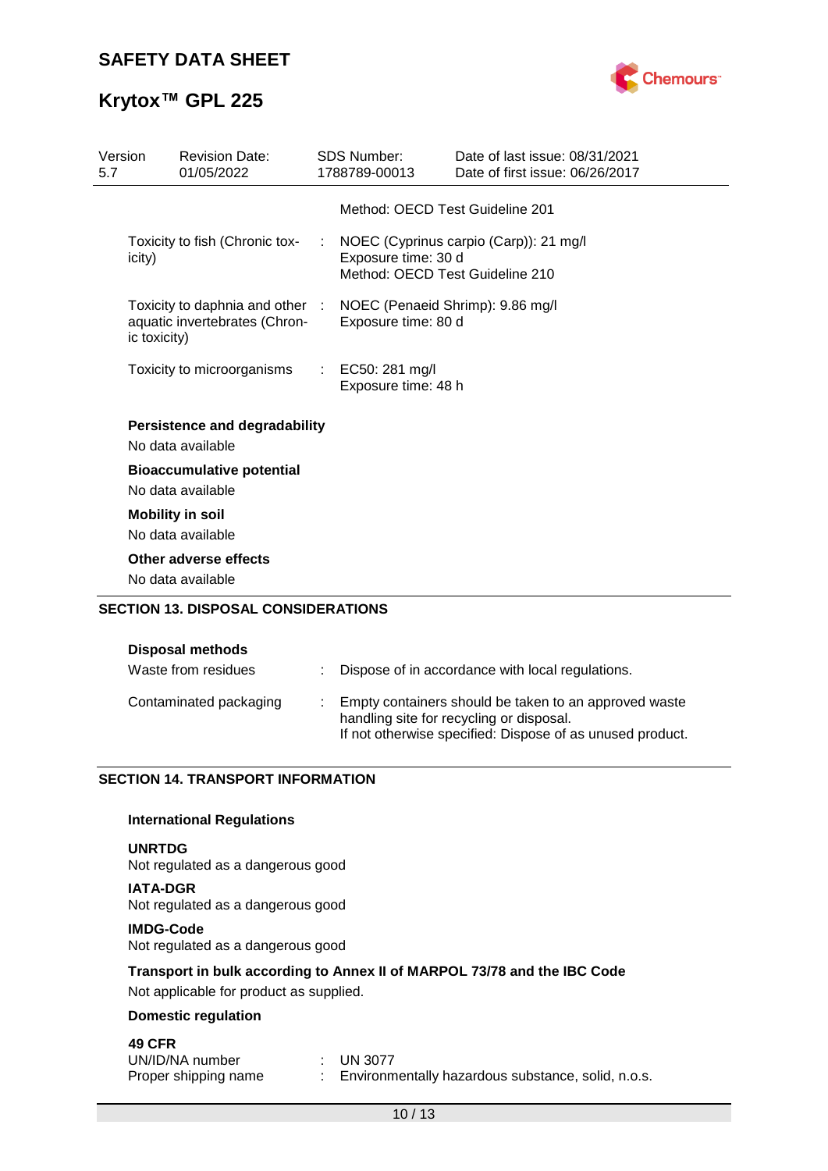

| Version<br>5.7 |              | <b>Revision Date:</b><br>01/05/2022                              |        | <b>SDS Number:</b><br>1788789-00013     | Date of last issue: 08/31/2021<br>Date of first issue: 06/26/2017         |
|----------------|--------------|------------------------------------------------------------------|--------|-----------------------------------------|---------------------------------------------------------------------------|
|                |              |                                                                  |        |                                         | Method: OECD Test Guideline 201                                           |
|                | icity)       | Toxicity to fish (Chronic tox-                                   | i tirk | Exposure time: 30 d                     | NOEC (Cyprinus carpio (Carp)): 21 mg/l<br>Method: OECD Test Guideline 210 |
|                | ic toxicity) | Toxicity to daphnia and other :<br>aquatic invertebrates (Chron- |        | Exposure time: 80 d                     | NOEC (Penaeid Shrimp): 9.86 mg/l                                          |
|                |              | Toxicity to microorganisms                                       |        | : EC50: 281 mg/l<br>Exposure time: 48 h |                                                                           |
|                |              | <b>Persistence and degradability</b><br>No data available        |        |                                         |                                                                           |
|                |              | <b>Bioaccumulative potential</b><br>No data available            |        |                                         |                                                                           |
|                |              | <b>Mobility in soil</b><br>No data available                     |        |                                         |                                                                           |
|                |              | Other adverse effects<br>No data available                       |        |                                         |                                                                           |
|                |              | <b>SECTION 13. DISPOSAL CONSIDERATIONS</b>                       |        |                                         |                                                                           |

#### **Disposal methods**

| Waste from residues    | : Dispose of in accordance with local regulations.                                                                                                             |
|------------------------|----------------------------------------------------------------------------------------------------------------------------------------------------------------|
| Contaminated packaging | Empty containers should be taken to an approved waste<br>handling site for recycling or disposal.<br>If not otherwise specified: Dispose of as unused product. |

### **SECTION 14. TRANSPORT INFORMATION**

#### **International Regulations**

#### **UNRTDG**

Not regulated as a dangerous good

**IATA-DGR** Not regulated as a dangerous good

#### **IMDG-Code**

Not regulated as a dangerous good

### **Transport in bulk according to Annex II of MARPOL 73/78 and the IBC Code**

Not applicable for product as supplied.

### **Domestic regulation**

## **49 CFR**

| UN/ID/NA number      | $\therefore$ UN 3077                               |
|----------------------|----------------------------------------------------|
| Proper shipping name | Environmentally hazardous substance, solid, n.o.s. |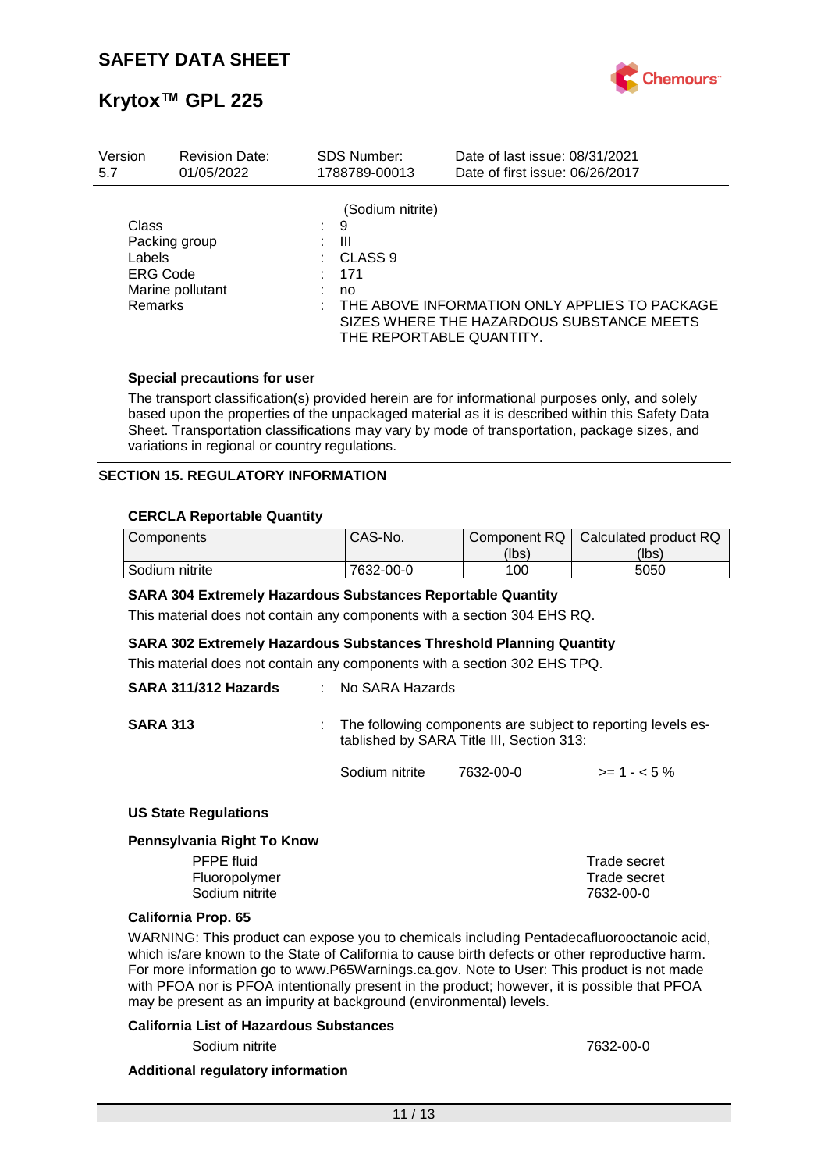

| Version                                                               | <b>Revision Date:</b> | <b>SDS Number:</b>                                                                        | Date of last issue: 08/31/2021                                                             |
|-----------------------------------------------------------------------|-----------------------|-------------------------------------------------------------------------------------------|--------------------------------------------------------------------------------------------|
| 5.7                                                                   | 01/05/2022            | 1788789-00013                                                                             | Date of first issue: 06/26/2017                                                            |
| Class<br>Packing group<br>Labels<br><b>ERG Code</b><br><b>Remarks</b> | Marine pollutant      | (Sodium nitrite)<br>9<br>Ш<br>CLASS <sub>9</sub><br>171<br>no<br>THE REPORTABLE QUANTITY. | THE ABOVE INFORMATION ONLY APPLIES TO PACKAGE<br>SIZES WHERE THE HAZARDOUS SUBSTANCE MEETS |

#### **Special precautions for user**

The transport classification(s) provided herein are for informational purposes only, and solely based upon the properties of the unpackaged material as it is described within this Safety Data Sheet. Transportation classifications may vary by mode of transportation, package sizes, and variations in regional or country regulations.

#### **SECTION 15. REGULATORY INFORMATION**

#### **CERCLA Reportable Quantity**

| Components     | CAS-No.   | Component RQ | Calculated product RQ |
|----------------|-----------|--------------|-----------------------|
|                |           | (lbs)        | (lbs)                 |
| Sodium nitrite | 7632-00-0 | 100          | 5050                  |

#### **SARA 304 Extremely Hazardous Substances Reportable Quantity**

This material does not contain any components with a section 304 EHS RQ.

#### **SARA 302 Extremely Hazardous Substances Threshold Planning Quantity**

This material does not contain any components with a section 302 EHS TPQ.

| SARA 311/312 Hazards | : No SARA Hazards |                                           |                                                                |
|----------------------|-------------------|-------------------------------------------|----------------------------------------------------------------|
| <b>SARA 313</b>      |                   | tablished by SARA Title III, Section 313: | : The following components are subject to reporting levels es- |
|                      | Sodium nitrite    | 7632-00-0                                 | $>= 1 - 5\%$                                                   |

#### **US State Regulations**

#### **Pennsylvania Right To Know**

| Trade secret |
|--------------|
| Trade secret |
| 7632-00-0    |
|              |

#### **California Prop. 65**

WARNING: This product can expose you to chemicals including Pentadecafluorooctanoic acid, which is/are known to the State of California to cause birth defects or other reproductive harm. For more information go to www.P65Warnings.ca.gov. Note to User: This product is not made with PFOA nor is PFOA intentionally present in the product; however, it is possible that PFOA may be present as an impurity at background (environmental) levels.

#### **California List of Hazardous Substances**

Sodium nitrite 7632-00-0

#### **Additional regulatory information**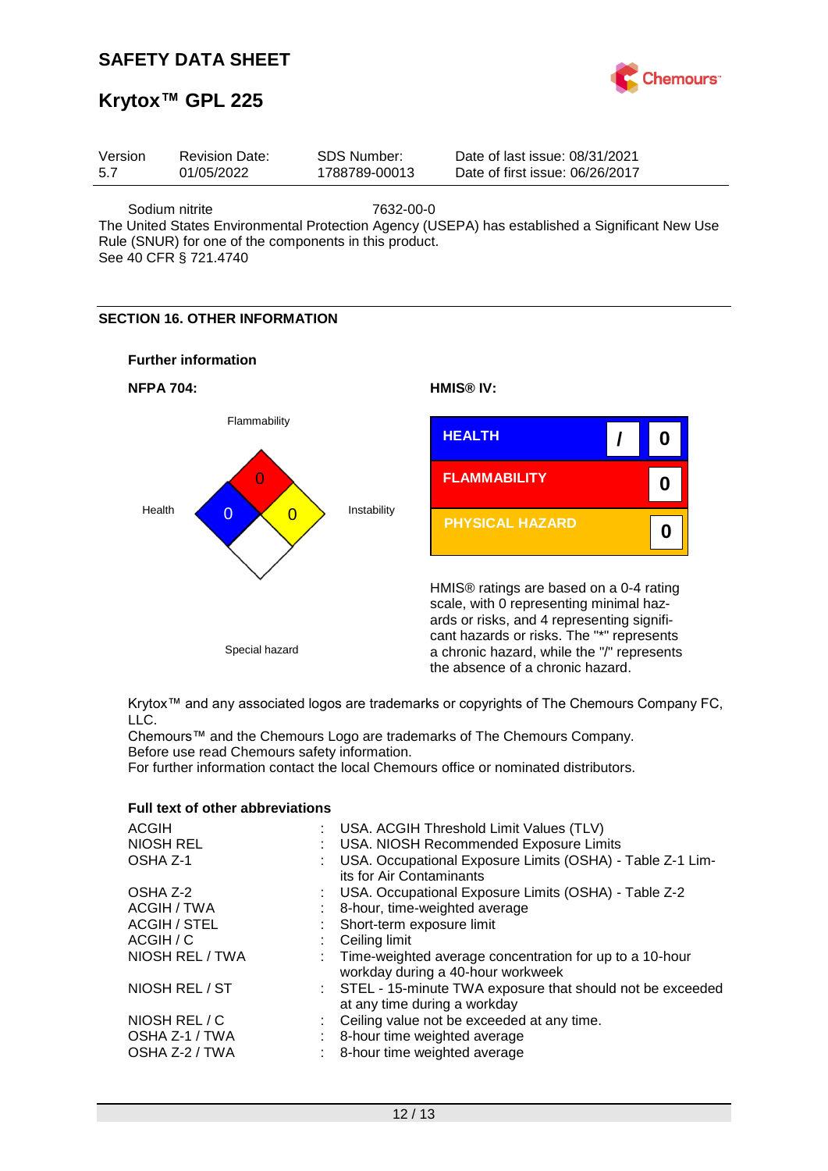

## **Krytox™ GPL 225**

| Version | <b>Revision Date:</b> | SDS Number:   | Date of last issue: 08/31/2021  |  |
|---------|-----------------------|---------------|---------------------------------|--|
| 5.7     | 01/05/2022            | 1788789-00013 | Date of first issue: 06/26/2017 |  |
|         |                       |               |                                 |  |

Sodium nitrite 7632-00-0 The United States Environmental Protection Agency (USEPA) has established a Significant New Use Rule (SNUR) for one of the components in this product.

See 40 CFR § 721.4740

### **SECTION 16. OTHER INFORMATION**





Krytox™ and any associated logos are trademarks or copyrights of The Chemours Company FC, LLC.

Chemours™ and the Chemours Logo are trademarks of The Chemours Company. Before use read Chemours safety information.

For further information contact the local Chemours office or nominated distributors.

| ACGIH                                             | : USA. ACGIH Threshold Limit Values (TLV)                                                                    |
|---------------------------------------------------|--------------------------------------------------------------------------------------------------------------|
| <b>NIOSH REL</b>                                  | : USA. NIOSH Recommended Exposure Limits                                                                     |
| OSHA Z-1                                          | : USA. Occupational Exposure Limits (OSHA) - Table Z-1 Lim-<br>its for Air Contaminants                      |
| OSHA Z-2                                          | : USA. Occupational Exposure Limits (OSHA) - Table Z-2                                                       |
| ACGIH / TWA                                       | : 8-hour, time-weighted average                                                                              |
| <b>ACGIH / STEL</b>                               | : Short-term exposure limit                                                                                  |
| ACGIH / C                                         | : Ceiling limit                                                                                              |
| NIOSH REL / TWA                                   | : Time-weighted average concentration for up to a 10-hour<br>workday during a 40-hour workweek               |
| NIOSH REL / ST                                    | : STEL - 15-minute TWA exposure that should not be exceeded<br>at any time during a workday                  |
| NIOSH REL / C<br>OSHA Z-1 / TWA<br>OSHA Z-2 / TWA | : Ceiling value not be exceeded at any time.<br>8-hour time weighted average<br>8-hour time weighted average |